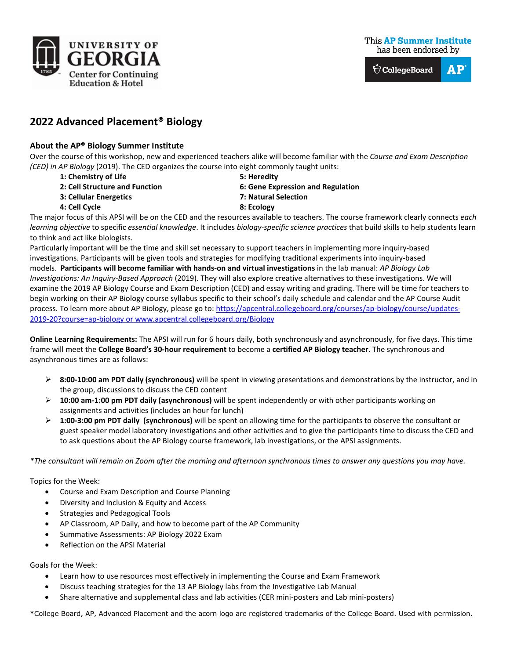

**This AP Summer Institute** has been endorsed by



# **2022 Advanced Placement® Biology**

## **About the AP® Biology Summer Institute**

Over the course of this workshop, new and experienced teachers alike will become familiar with the *Course and Exam Description (CED) in AP Biology* (2019). The CED organizes the course into eight commonly taught units:

- **1: Chemistry of Life 5: Heredity**
- 
- **3: Cellular Energetics 7: Natural Selection**
- **4: Cell Cycle 8: Ecology**
- 
- **2: Cell Structure and Function 6: Gene Expression and Regulation**
	-

The major focus of this APSI will be on the CED and the resources available to teachers. The course framework clearly connects *each learning objective* to specific *essential knowledge*. It includes *biology-specific science practices* that build skills to help students learn to think and act like biologists.

Particularly important will be the time and skill set necessary to support teachers in implementing more inquiry-based investigations. Participants will be given tools and strategies for modifying traditional experiments into inquiry-based models. **Participants will become familiar with hands-on and virtual investigations** in the lab manual: *AP Biology Lab Investigations: An Inquiry-Based Approach* (2019). They will also explore creative alternatives to these investigations. We will examine the 2019 AP Biology Course and Exam Description (CED) and essay writing and grading. There will be time for teachers to begin working on their AP Biology course syllabus specific to their school's daily schedule and calendar and the AP Course Audit process. To learn more about AP Biology, please go to[: https://apcentral.collegeboard.org/courses/ap-biology/course/updates-](https://apcentral.collegeboard.org/courses/ap-biology/course/updates-2019-20?course=ap-biology)[2019-20?course=ap-biology](https://apcentral.collegeboard.org/courses/ap-biology/course/updates-2019-20?course=ap-biology) or [www.apcentral.collegeboard.org/Biology](http://www.apcentral.collegeboard.org/Biology)

**Online Learning Requirements:** The APSI will run for 6 hours daily, both synchronously and asynchronously, for five days. This time frame will meet the **College Board's 30-hour requirement** to become a **certified AP Biology teacher**. The synchronous and asynchronous times are as follows:

- **8:00-10:00 am PDT daily (synchronous)** will be spent in viewing presentations and demonstrations by the instructor, and in the group, discussions to discuss the CED content
- **10:00 am-1:00 pm PDT daily (asynchronous)** will be spent independently or with other participants working on assignments and activities (includes an hour for lunch)
- **1:00-3:00 pm PDT daily (synchronous)** will be spent on allowing time for the participants to observe the consultant or guest speaker model laboratory investigations and other activities and to give the participants time to discuss the CED and to ask questions about the AP Biology course framework, lab investigations, or the APSI assignments.

*\*The consultant will remain on Zoom after the morning and afternoon synchronous times to answer any questions you may have.*

Topics for the Week:

- Course and Exam Description and Course Planning
- Diversity and Inclusion & Equity and Access
- Strategies and Pedagogical Tools
- AP Classroom, AP Daily, and how to become part of the AP Community
- Summative Assessments: AP Biology 2022 Exam
- Reflection on the APSI Material

Goals for the Week:

- Learn how to use resources most effectively in implementing the Course and Exam Framework
- Discuss teaching strategies for the 13 AP Biology labs from the Investigative Lab Manual
- Share alternative and supplemental class and lab activities (CER mini-posters and Lab mini-posters)

\*College Board, AP, Advanced Placement and the acorn logo are registered trademarks of the College Board. Used with permission.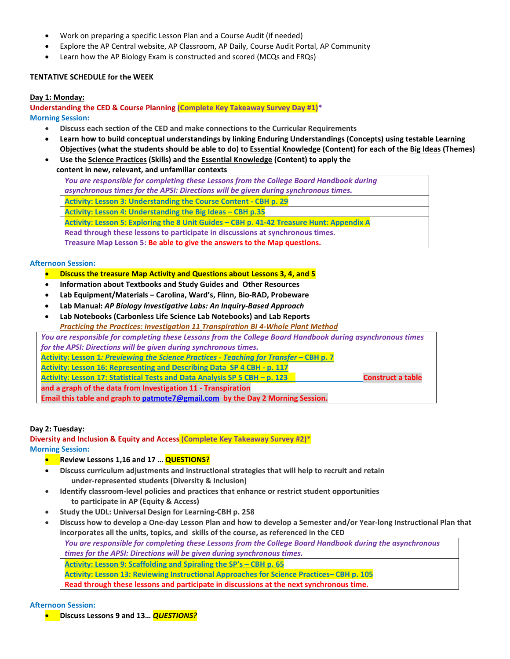- Work on preparing a specific Lesson Plan and a Course Audit (if needed)
- Explore the AP Central website, AP Classroom, AP Daily, Course Audit Portal, AP Community
- Learn how the AP Biology Exam is constructed and scored (MCQs and FRQs)

## **TENTATIVE SCHEDULE for the WEEK**

## **Day 1: Monday:**

**Understanding the CED & Course Planning (Complete Key Takeaway Survey Day #1)\* Morning Session:**

- **Discuss each section of the CED and make connections to the Curricular Requirements**
- **Learn how to build conceptual understandings by linking Enduring Understandings (Concepts) using testable Learning Objectives (what the students should be able to do) to Essential Knowledge (Content) for each of the Big Ideas (Themes)**
- **Use the Science Practices (Skills) and the Essential Knowledge (Content) to apply the**

 **content in new, relevant, and unfamiliar contexts**

*You are responsible for completing these Lessons from the College Board Handbook during asynchronous times for the APSI: Directions will be given during synchronous times.* **Activity: Lesson 3: Understanding the Course Content - CBH p. 29 Activity: Lesson 4: Understanding the Big Ideas – CBH p.35 Activity: Lesson 5: Exploring the 8 Unit Guides – CBH p. 41-42 Treasure Hunt: Appendix A Read through these lessons to participate in discussions at synchronous times. Treasure Map Lesson 5: Be able to give the answers to the Map questions.**

## **Afternoon Session:**

- **Discuss the treasure Map Activity and Questions about Lessons 3, 4, and 5**
- **Information about Textbooks and Study Guides and Other Resources**
- **Lab Equipment/Materials – Carolina, Ward's, Flinn, Bio-RAD, Probeware**
- **Lab Manual:** *AP Biology Investigative Labs: An Inquiry-Based Approach*
- **Lab Notebooks (Carbonless Life Science Lab Notebooks) and Lab Reports** *Practicing the Practices: Investigation 11 Transpiration BI 4-Whole Plant Method*

*You are responsible for completing these Lessons from the College Board Handbook during asynchronous times for the APSI: Directions will be given during synchronous times.* **Activity: Lesson 1***: Previewing the Science Practices - Teaching for Transfer –* **CBH p. 7 Activity: Lesson 16: Representing and Describing Data SP 4 CBH - p. 117** Activity: Lesson 17: Statistical Tests and Data Analysis SP 5 CBH – p. 123 **CONSTAGE CONSTRUCT ANALY CONSTRUCT and a graph of the data from Investigation 11 - Transpiration** 

**Email this table and graph t[o patmote7@gmail.com](mailto:patmote7@gmail.com) by the Day 2 Morning Session.** 

## **Day 2: Tuesday:**

**Diversity and Inclusion & Equity and Access (Complete Key Takeaway Survey #2)\* Morning Session:**

- **•** Review Lessons 1,16 and 17 ... **QUESTIONS?**
- **Discuss curriculum adjustments and instructional strategies that will help to recruit and retain under-represented students (Diversity & Inclusion)**
- **Identify classroom-level policies and practices that enhance or restrict student opportunities to participate in AP (Equity & Access)**
- **Study the UDL: Universal Design for Learning-CBH p. 258**
- **Discuss how to develop a One-day Lesson Plan and how to develop a Semester and/or Year-long Instructional Plan that incorporates all the units, topics, and skills of the course, as referenced in the CED** *You are responsible for completing these Lessons from the College Board Handbook during the asynchronous times for the APSI: Directions will be given during synchronous times.* **Activity: Lesson 9: Scaffolding and Spiraling the SP's – CBH p. 65**

**Activity: Lesson 13: Reviewing Instructional Approaches for Science Practices– CBH p. 105** 

**Read through these lessons and participate in discussions at the next synchronous time.**

## **Afternoon Session:**

• **Discuss Lessons 9 and 13…** *QUESTIONS?*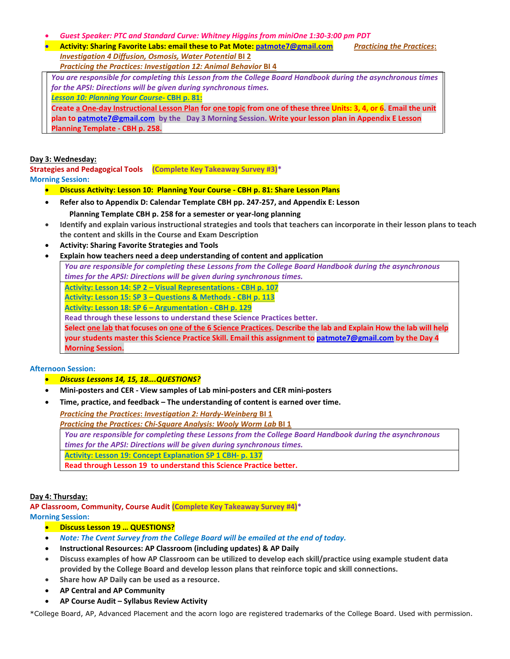- *Guest Speaker: PTC and Standard Curve: Whitney Higgins from miniOne 1:30-3:00 pm PDT*
- **Activity: Sharing Favorite Labs: email these to Pat Mote: [patmote7@gmail.com](mailto:patmote7@gmail.com)** *Practicing the Practices***:**  *Investigation 4 Diffusion, Osmosis, Water Potential* **BI 2**

*Practicing the Practices: Investigation 12: Animal Behavior* **BI 4** 

*You are responsible for completing this Lesson from the College Board Handbook during the asynchronous times for the APSI: Directions will be given during synchronous times.*

*Lesson 10: Planning Your Course-* **CBH p. 81:** 

**Create a One-day Instructional Lesson Plan for one topic from one of these three Units: 3, 4, or 6. Email the unit plan to [patmote7@gmail.com](mailto:patmote7@gmail.com) by the Day 3 Morning Session. Write your lesson plan in Appendix E Lesson Planning Template - CBH p. 258.**

## **Day 3: Wednesday:**

**Strategies and Pedagogical Tools (Complete Key Takeaway Survey #3)\* Morning Session:**

- **Discuss Activity: Lesson 10: Planning Your Course - CBH p. 81: Share Lesson Plans**
- **Refer also to Appendix D: Calendar Template CBH pp. 247-257, and Appendix E: Lesson Planning Template CBH p. 258 for a semester or year-long planning**
- **Identify and explain various instructional strategies and tools that teachers can incorporate in their lesson plans to teach the content and skills in the Course and Exam Description**
- **Activity: Sharing Favorite Strategies and Tools**
- **Explain how teachers need a deep understanding of content and application** *You are responsible for completing these Lessons from the College Board Handbook during the asynchronous*

*times for the APSI: Directions will be given during synchronous times.* **Activity: Lesson 14: SP 2 – Visual Representations - CBH p. 107 Activity: Lesson 15: SP 3 – Questions & Methods - CBH p. 113 Activity: Lesson 18: SP 6 – Argumentation - CBH p. 129 Read through these lessons to understand these Science Practices better.** Select one lab that focuses on one of the 6 Science Practices. Describe the lab and Explain How the lab will help **your students master this Science Practice Skill. Email this assignment to [patmote7@gmail.com](mailto:patmote7@gmail.com) by the Day 4 Morning Session.**

**Afternoon Session:**

- *Discuss Lessons 14, 15, 18….QUESTIONS?*
- **Mini-posters and CER - View samples of Lab mini-posters and CER mini-posters**
- **Time, practice, and feedback – The understanding of content is earned over time.**

*Practicing the Practices***:** *Investigation 2: Hardy-Weinberg* **BI 1**  *Practicing the Practices: Chi-Square Analysis: Wooly Worm Lab* **BI 1**  *You are responsible for completing these Lessons from the College Board Handbook during the asynchronous times for the APSI: Directions will be given during synchronous times.* **Activity: Lesson 19: Concept Explanation SP 1 CBH- p. 137 Read through Lesson 19 to understand this Science Practice better.**

## **Day 4: Thursday:**

**AP Classroom, Community, Course Audit (Complete Key Takeaway Survey #4)\* Morning Session:**

- **Discuss Lesson 19 … QUESTIONS?**
- *Note: The Cvent Survey from the College Board will be emailed at the end of today.*
- **Instructional Resources: AP Classroom (including updates) & AP Daily**
- **Discuss examples of how AP Classroom can be utilized to develop each skill/practice using example student data provided by the College Board and develop lesson plans that reinforce topic and skill connections.**
- **Share how AP Daily can be used as a resource.**
- **AP Central and AP Community**
- **AP Course Audit – Syllabus Review Activity**

\*College Board, AP, Advanced Placement and the acorn logo are registered trademarks of the College Board. Used with permission.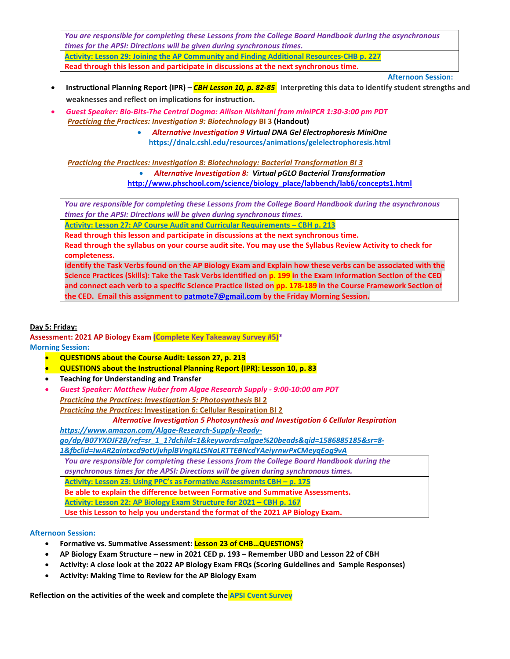*You are responsible for completing these Lessons from the College Board Handbook during the asynchronous times for the APSI: Directions will be given during synchronous times.*

**Activity: Lesson 29: Joining the AP Community and Finding Additional Resources-CHB p. 227 Read through this lesson and participate in discussions at the next synchronous time.**

 **Afternoon Session:**

- **Instructional Planning Report (IPR) –** *CBH Lesson 10, p. 82-85* **Interpreting this data to identify student strengths and weaknesses and reflect on implications for instruction.**
- *Guest Speaker: Bio-Bits-The Central Dogma: Allison Nishitani from miniPCR 1:30-3:00 pm PDT Practicing the Practices: Investigation 9: Biotechnology* **BI 3 (Handout)**
	- *Alternative Investigation 9 Virtual DNA Gel Electrophoresis MiniOne*  **<https://dnalc.cshl.edu/resources/animations/gelelectrophoresis.html>**

 *Practicing the Practices: Investigation 8: Biotechnology: Bacterial Transformation BI 3* • *Alternative Investigation 8: Virtual pGLO Bacterial Transformatio[n](http://www.phschool.com/science/biology_place/labbench/lab6/concepts1.html)* **[http://www.phschool.com/science/biology\\_place/labbench/lab6/concepts1.html](http://www.phschool.com/science/biology_place/labbench/lab6/concepts1.html)** 

*You are responsible for completing these Lessons from the College Board Handbook during the asynchronous times for the APSI: Directions will be given during synchronous times.*

**Activity: Lesson 27: AP Course Audit and Curricular Requirements – CBH p. 213**

**Read through this lesson and participate in discussions at the next synchronous time.**

**Read through the syllabus on your course audit site. You may use the Syllabus Review Activity to check for completeness.**

**Identify the Task Verbs found on the AP Biology Exam and Explain how these verbs can be associated with the Science Practices (Skills): Take the Task Verbs identified on p. 199 in the Exam Information Section of the CED and connect each verb to a specific Science Practice listed on pp. 178-189 in the Course Framework Section of the CED. Email this assignment to [patmote7@gmail.com](mailto:patmote7@gmail.com) by the Friday Morning Session.**

## **Day 5: Friday:**

**Assessment: 2021 AP Biology Exam (Complete Key Takeaway Survey #5)\* Morning Session:**

- **QUESTIONS about the Course Audit: Lesson 27, p. 213**
- **QUESTIONS about the Instructional Planning Report (IPR): Lesson 10, p. 83**
- **Teaching for Understanding and Transfer**
- *Guest Speaker: Matthew Huber from Algae Research Supply - 9:00-10:00 am PDT Practicing the Practices***:** *Investigation 5: Photosynthesis* **BI 2** *Practicing the Practices:* **Investigation 6: Cellular Respiration BI 2**

## *Alternative Investigation 5 Photosynthesis and Investigation 6 Cellular Respiration*

*[https://www.amazon.com/Algae-Research-Supply-Ready-](https://www.amazon.com/Algae-Research-Supply-Ready-go/dp/B07YXDJF2B/ref=sr_1_1?dchild=1&keywords=algae%20beads&qid=1586885185&sr=8-1&fbclid=IwAR2aintxcd9otVjvhplBVngKLtSNaLRTTEBNcdYAeiyrnwPxCMeyqEog9vA)*

*[go/dp/B07YXDJF2B/ref=sr\\_1\\_1?dchild=1&keywords=algae%20beads&qid=1586885185&sr=8-](https://www.amazon.com/Algae-Research-Supply-Ready-go/dp/B07YXDJF2B/ref=sr_1_1?dchild=1&keywords=algae%20beads&qid=1586885185&sr=8-1&fbclid=IwAR2aintxcd9otVjvhplBVngKLtSNaLRTTEBNcdYAeiyrnwPxCMeyqEog9vA)*

*[1&fbclid=IwAR2aintxcd9otVjvhplBVngKLtSNaLRTTEBNcdYAeiyrnwPxCMeyqEog9vA](https://www.amazon.com/Algae-Research-Supply-Ready-go/dp/B07YXDJF2B/ref=sr_1_1?dchild=1&keywords=algae%20beads&qid=1586885185&sr=8-1&fbclid=IwAR2aintxcd9otVjvhplBVngKLtSNaLRTTEBNcdYAeiyrnwPxCMeyqEog9vA)*

*You are responsible for completing these Lessons from the College Board Handbook during the* 

*asynchronous times for the APSI: Directions will be given during synchronous times.*

**Activity: Lesson 23: Using PPC's as Formative Assessments CBH – p. 175**

**Be able to explain the difference between Formative and Summative Assessments.** 

**Activity: Lesson 22: AP Biology Exam Structure for 2021 – CBH p. 167** 

**Use this Lesson to help you understand the format of the 2021 AP Biology Exam.** 

## **Afternoon Session:**

- **Formative vs. Summative Assessment: Lesson 23 of CHB…QUESTIONS?**
- **AP Biology Exam Structure – new in 2021 CED p. 193 – Remember UBD and Lesson 22 of CBH**
- **Activity: A close look at the 2022 AP Biology Exam FRQs (Scoring Guidelines and Sample Responses)**
- **Activity: Making Time to Review for the AP Biology Exam**

**Reflection on the activities of the week and complete the APSI Cvent Survey**